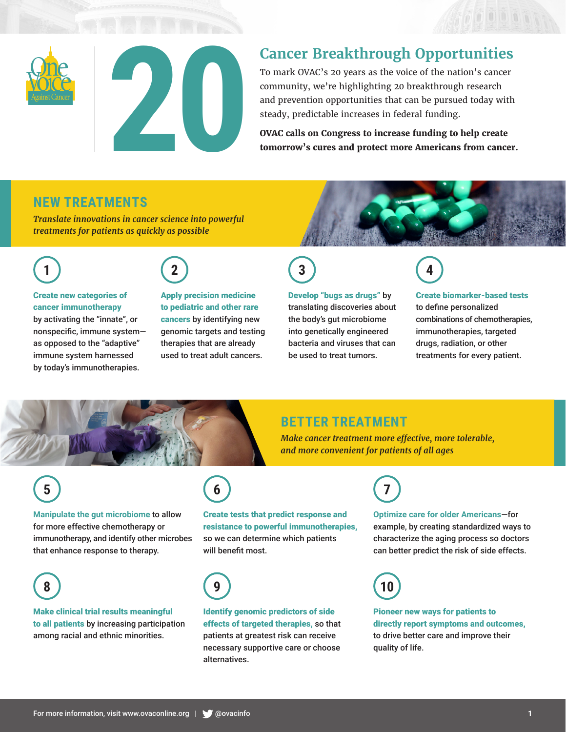



To mark OVAC's 20 years as the voice of the nation's cancer community, we're highlighting 20 breakthrough research and prevention opportunities that can be pursued today with steady, predictable increases in federal funding.

**OVAC calls on Congress to increase funding to help create tomorrow's cures and protect more Americans from cancer.**

## **NEW TREATMENTS**

*Translate innovations in cancer science into powerful treatments for patients as quickly as possible* 





#### Create new categories of cancer immunotherapy

by activating the "innate", or nonspecific, immune system as opposed to the "adaptive" immune system harnessed by today's immunotherapies.

Apply precision medicine to pediatric and other rare cancers by identifying new genomic targets and testing therapies that are already used to treat adult cancers.



#### Develop "bugs as drugs" by

translating discoveries about the body's gut microbiome into genetically engineered bacteria and viruses that can be used to treat tumors.



#### Create biomarker-based tests

ODOORR

to define personalized combinations of chemotherapies, immunotherapies, targeted drugs, radiation, or other treatments for every patient.



# **BETTER TREATMENT**

*Make cancer treatment more effective, more tolerable, and more convenient for patients of all ages* 

# **5**

**Manipulate the gut microbiome** to allow for more effective chemotherapy or immunotherapy, and identify other microbes that enhance response to therapy.



### Make clinical trial results meaningful to all patients by increasing participation among racial and ethnic minorities.

# **6**

Create tests that predict response and resistance to powerful immunotherapies, so we can determine which patients will benefit most.



Identify genomic predictors of side effects of targeted therapies, so that patients at greatest risk can receive necessary supportive care or choose alternatives.

# **7**

**Optimize care for older Americans**—for example, by creating standardized ways to characterize the aging process so doctors can better predict the risk of side effects.



Pioneer new ways for patients to directly report symptoms and outcomes, to drive better care and improve their quality of life.